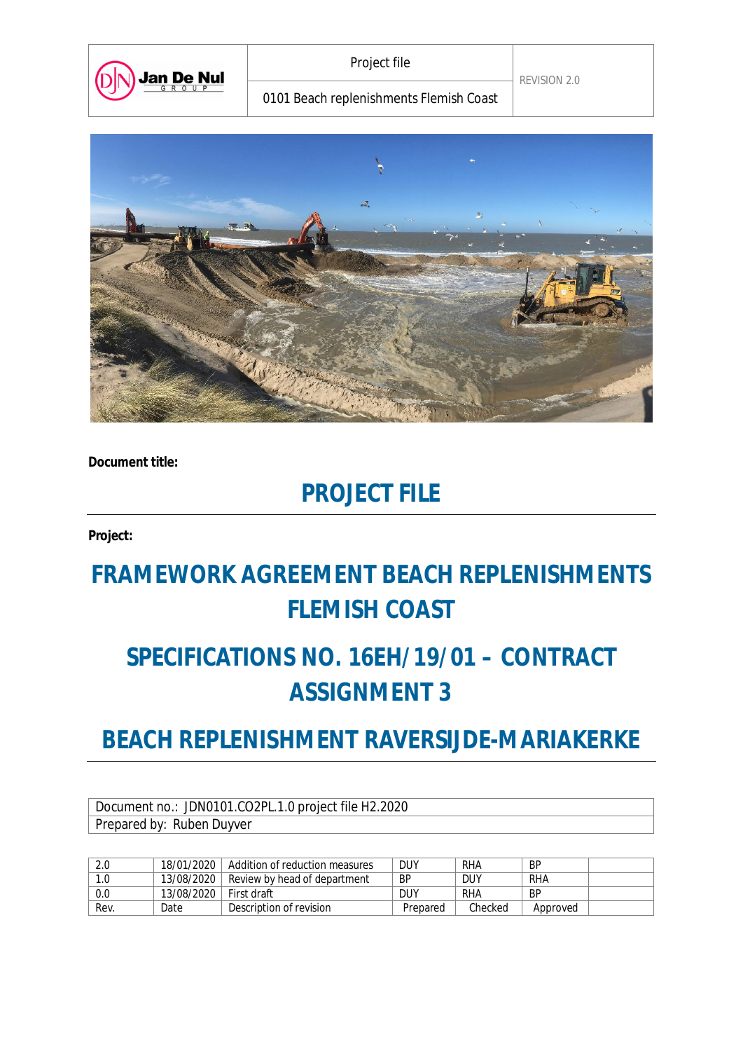



**Document title:**

# **PROJECT FILE**

**Project:**

# **FRAMEWORK AGREEMENT BEACH REPLENISHMENTS FLEMISH COAST**

# **SPECIFICATIONS NO. 16EH/19/01 – CONTRACT ASSIGNMENT 3**

# **BEACH REPLENISHMENT RAVERSIJDE-MARIAKERKE**

Document no.: JDN0101.CO2PL.1.0 project file H2.2020 Prepared by: Ruben Duyver

|      | 18/01/2020 | Addition of reduction measures | <b>DUY</b> | <b>RHA</b> | <b>BP</b> |  |
|------|------------|--------------------------------|------------|------------|-----------|--|
|      | 13/08/2020 | Review by head of department   | <b>BP</b>  | <b>DUY</b> | RHA       |  |
| 0.0  | 13/08/2020 | First draft                    | <b>DUY</b> | RHA        | <b>BP</b> |  |
| Rev. | Date       | Description of revision        | Prepared   | Checked    | Approved  |  |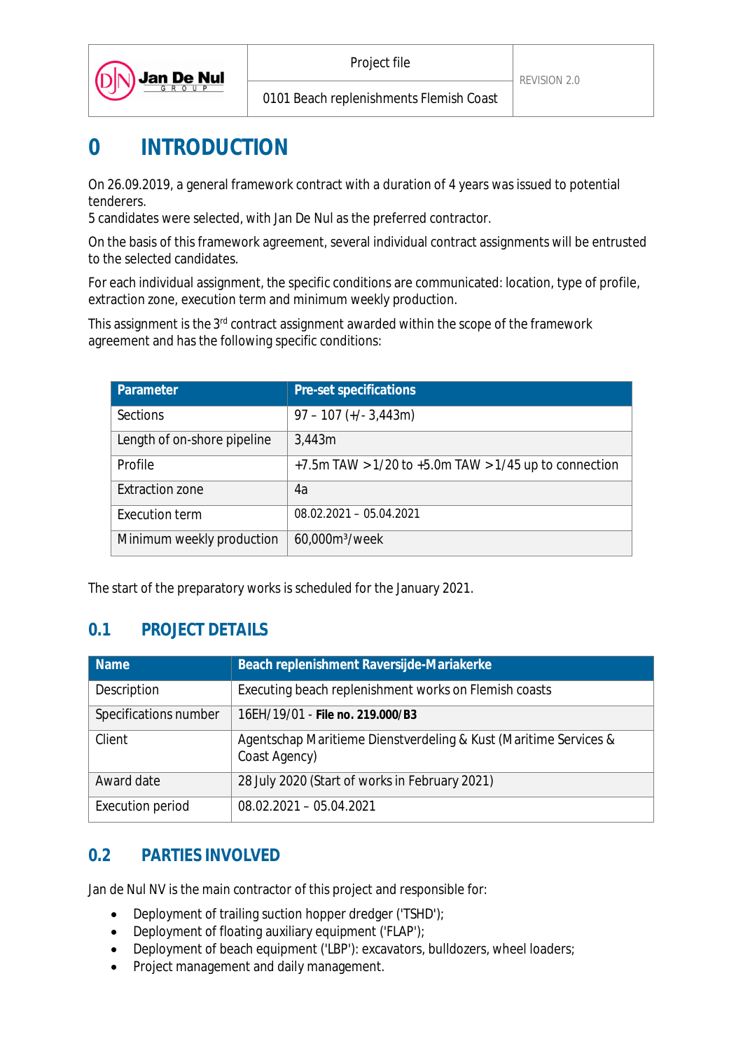

### **0 INTRODUCTION**

On 26.09.2019, a general framework contract with a duration of 4 years was issued to potential tenderers.

5 candidates were selected, with Jan De Nul as the preferred contractor.

On the basis of this framework agreement, several individual contract assignments will be entrusted to the selected candidates.

For each individual assignment, the specific conditions are communicated: location, type of profile, extraction zone, execution term and minimum weekly production.

This assignment is the 3<sup>rd</sup> contract assignment awarded within the scope of the framework agreement and has the following specific conditions:

| Parameter                   | Pre-set specifications                                      |
|-----------------------------|-------------------------------------------------------------|
| <b>Sections</b>             | $97 - 107 (+/- 3,443m)$                                     |
| Length of on-shore pipeline | 3,443m                                                      |
| Profile                     | $+7.5$ m TAW > 1/20 to $+5.0$ m TAW > 1/45 up to connection |
| Extraction zone             | 4a                                                          |
| Execution term              | $08.02.2021 - 05.04.2021$                                   |
| Minimum weekly production   | 60,000m <sup>3</sup> /week                                  |

The start of the preparatory works is scheduled for the January 2021.

#### **0.1 PROJECT DETAILS**

| <b>Name</b>             | Beach replenishment Raversijde-Mariakerke                                         |
|-------------------------|-----------------------------------------------------------------------------------|
| Description             | Executing beach replenishment works on Flemish coasts                             |
| Specifications number   | 16EH/19/01 - File no. 219.000/B3                                                  |
| Client                  | Agentschap Maritieme Dienstverdeling & Kust (Maritime Services &<br>Coast Agency) |
| Award date              | 28 July 2020 (Start of works in February 2021)                                    |
| <b>Execution period</b> | $08.02.2021 - 05.04.2021$                                                         |

#### **0.2 PARTIES INVOLVED**

Jan de Nul NV is the main contractor of this project and responsible for:

- · Deployment of trailing suction hopper dredger ('TSHD');
- · Deployment of floating auxiliary equipment ('FLAP');
- · Deployment of beach equipment ('LBP'): excavators, bulldozers, wheel loaders;
- · Project management and daily management.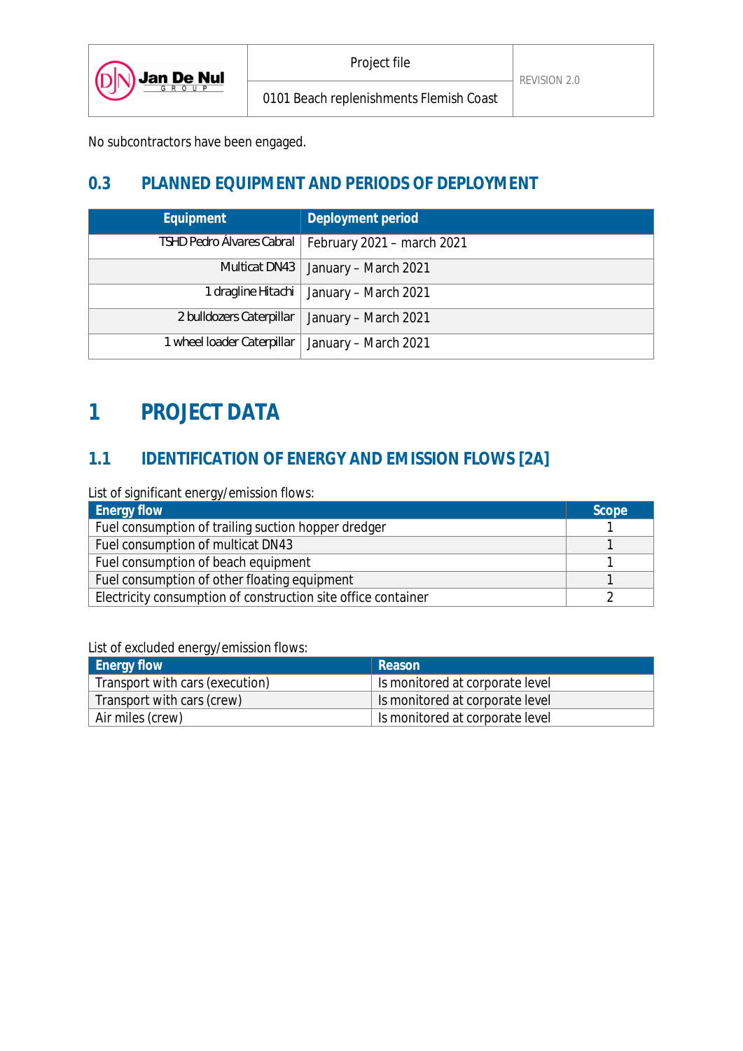

No subcontractors have been engaged.

#### **0.3 PLANNED EQUIPMENT AND PERIODS OF DEPLOYMENT**

| Equipment                  | Deployment period          |
|----------------------------|----------------------------|
| TSHD Pedro Álvares Cabral  | February 2021 – march 2021 |
| <b>Multicat DN43</b>       | January - March 2021       |
| 1 dragline Hitachi         | January – March 2021       |
| 2 bulldozers Caterpillar   | January - March 2021       |
| I wheel loader Caterpillar | January - March 2021       |

## **1 PROJECT DATA**

### **1.1 IDENTIFICATION OF ENERGY AND EMISSION FLOWS [2A]**

List of significant energy/emission flows:

| <b>Energy flow</b>                                            | Scope |
|---------------------------------------------------------------|-------|
| Fuel consumption of trailing suction hopper dredger           |       |
| Fuel consumption of multicat DN43                             |       |
| Fuel consumption of beach equipment                           |       |
| Fuel consumption of other floating equipment                  |       |
| Electricity consumption of construction site office container |       |

List of excluded energy/emission flows:

| ີ<br>Energy flow                | Reason                          |
|---------------------------------|---------------------------------|
| Transport with cars (execution) | Is monitored at corporate level |
| Transport with cars (crew)      | Is monitored at corporate level |
| Air miles (crew)                | Is monitored at corporate level |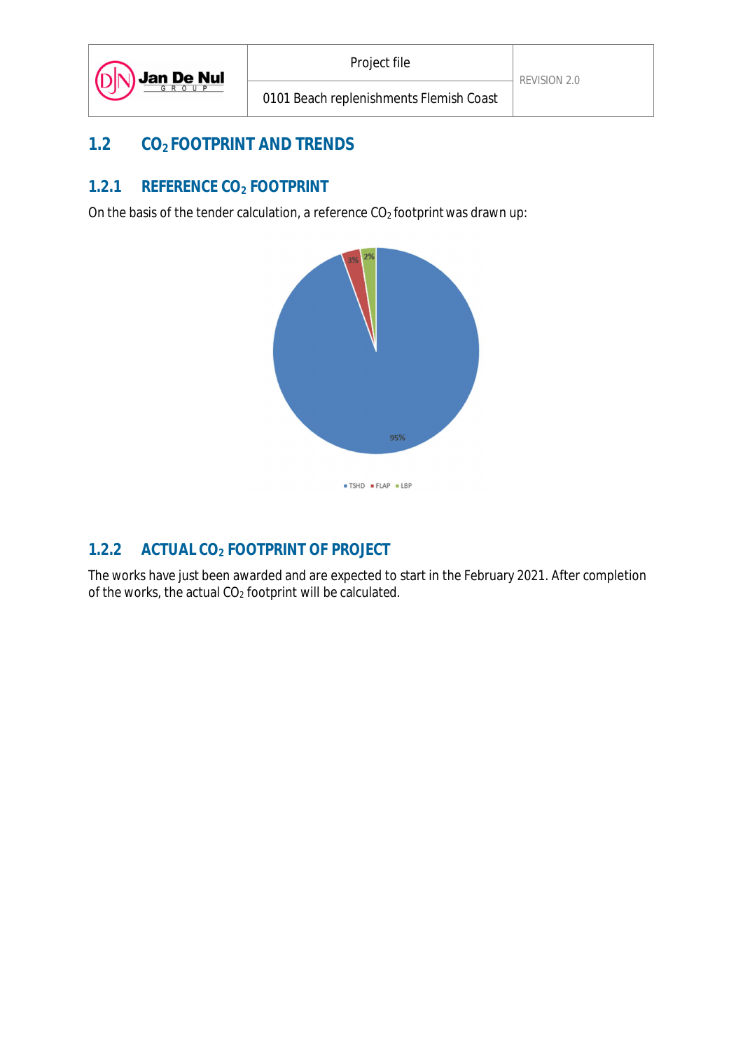

#### **1.2 CO<sup>2</sup> FOOTPRINT AND TRENDS**

#### **1.2.1 REFERENCE CO2 FOOTPRINT**

On the basis of the tender calculation, a reference  $CO<sub>2</sub>$  footprint was drawn up:



#### **1.2.2 ACTUAL CO2 FOOTPRINT OF PROJECT**

The works have just been awarded and are expected to start in the February 2021. After completion of the works, the actual  $CO<sub>2</sub>$  footprint will be calculated.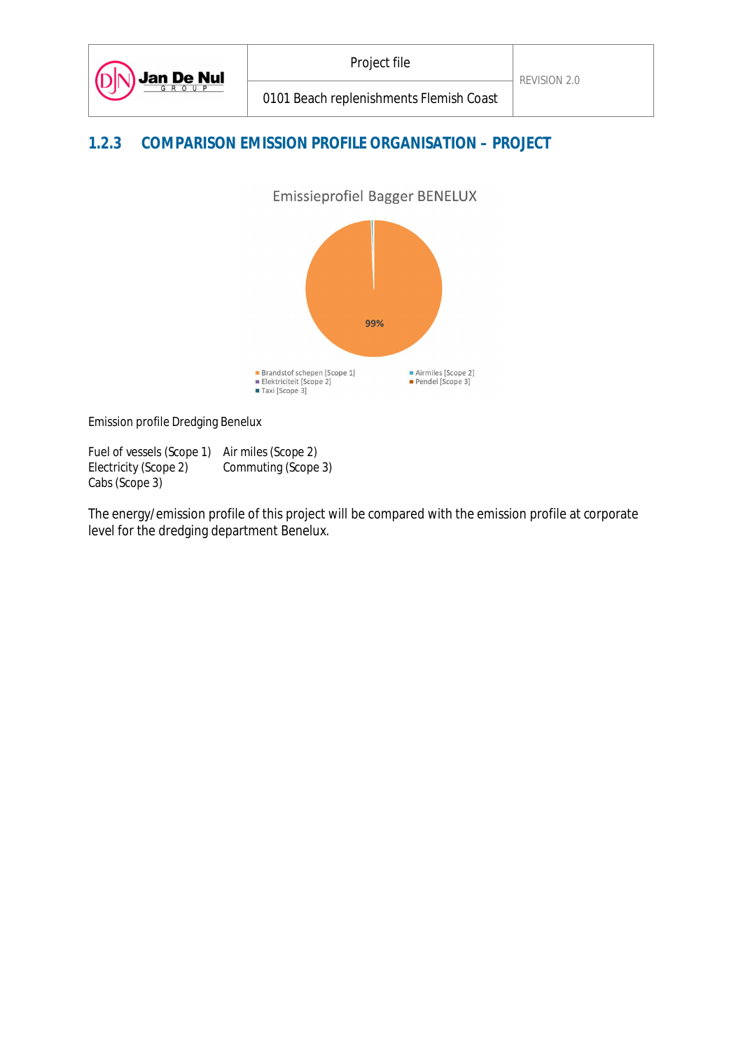

#### **1.2.3 COMPARISON EMISSION PROFILE ORGANISATION – PROJECT**

#### Emissieprofiel Bagger BENELUX



Emission profile Dredging Benelux

Fuel of vessels (Scope 1) Air miles (Scope 2)<br>Electricity (Scope 2) Commuting (Scope Commuting (Scope 3) Cabs (Scope 3)

The energy/emission profile of this project will be compared with the emission profile at corporate level for the dredging department Benelux.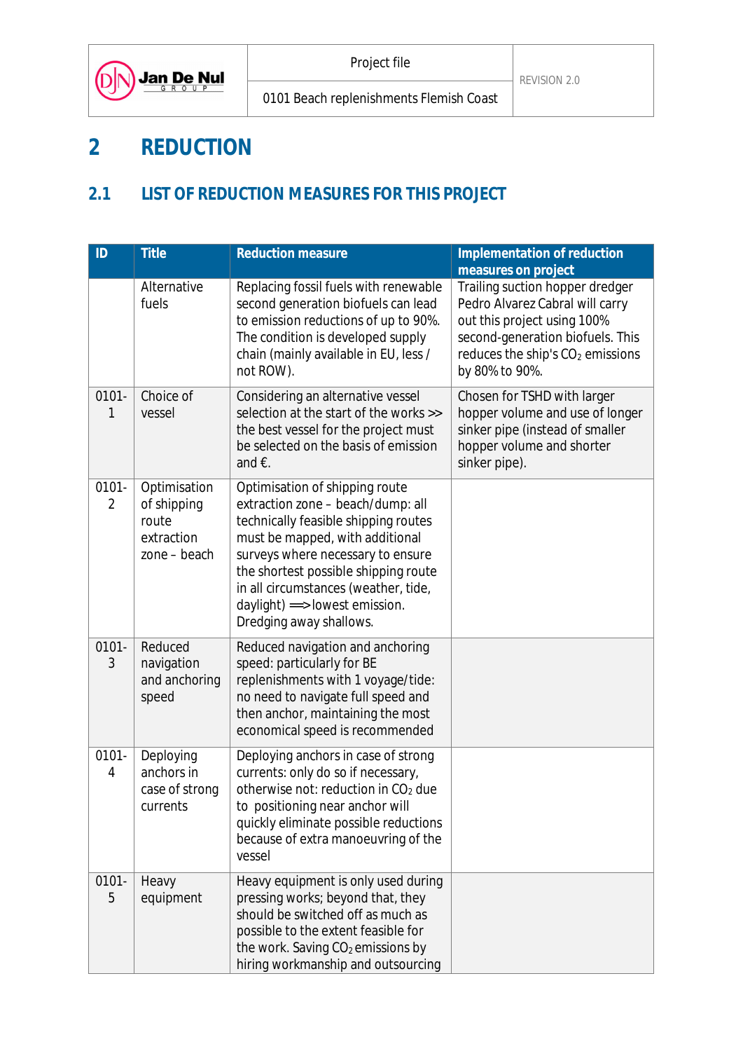

## **2 REDUCTION**

### **2.1 LIST OF REDUCTION MEASURES FOR THIS PROJECT**

| ID                         | <b>Title</b>                                                         | <b>Reduction measure</b>                                                                                                                                                                                                                                                                                                         | Implementation of reduction<br>measures on project                                                                                                                                                      |
|----------------------------|----------------------------------------------------------------------|----------------------------------------------------------------------------------------------------------------------------------------------------------------------------------------------------------------------------------------------------------------------------------------------------------------------------------|---------------------------------------------------------------------------------------------------------------------------------------------------------------------------------------------------------|
|                            | Alternative<br>fuels                                                 | Replacing fossil fuels with renewable<br>second generation biofuels can lead<br>to emission reductions of up to 90%.<br>The condition is developed supply<br>chain (mainly available in EU, less /<br>not ROW).                                                                                                                  | Trailing suction hopper dredger<br>Pedro Alvarez Cabral will carry<br>out this project using 100%<br>second-generation biofuels. This<br>reduces the ship's CO <sub>2</sub> emissions<br>by 80% to 90%. |
| $0101 -$<br>1              | Choice of<br>vessel                                                  | Considering an alternative vessel<br>selection at the start of the works >><br>the best vessel for the project must<br>be selected on the basis of emission<br>and $\epsilon$ .                                                                                                                                                  | Chosen for TSHD with larger<br>hopper volume and use of longer<br>sinker pipe (instead of smaller<br>hopper volume and shorter<br>sinker pipe).                                                         |
| $0101 -$<br>$\overline{2}$ | Optimisation<br>of shipping<br>route<br>extraction<br>$zone - beach$ | Optimisation of shipping route<br>extraction zone - beach/dump: all<br>technically feasible shipping routes<br>must be mapped, with additional<br>surveys where necessary to ensure<br>the shortest possible shipping route<br>in all circumstances (weather, tide,<br>daylight) ==> lowest emission.<br>Dredging away shallows. |                                                                                                                                                                                                         |
| $0101 -$<br>3              | Reduced<br>navigation<br>and anchoring<br>speed                      | Reduced navigation and anchoring<br>speed: particularly for BE<br>replenishments with 1 voyage/tide:<br>no need to navigate full speed and<br>then anchor, maintaining the most<br>economical speed is recommended                                                                                                               |                                                                                                                                                                                                         |
| $0101 -$<br>4              | Deploying<br>anchors in<br>case of strong<br>currents                | Deploying anchors in case of strong<br>currents: only do so if necessary,<br>otherwise not: reduction in CO <sub>2</sub> due<br>to positioning near anchor will<br>quickly eliminate possible reductions<br>because of extra manoeuvring of the<br>vessel                                                                        |                                                                                                                                                                                                         |
| $0101 -$<br>5              | Heavy<br>equipment                                                   | Heavy equipment is only used during<br>pressing works; beyond that, they<br>should be switched off as much as<br>possible to the extent feasible for<br>the work. Saving $CO2$ emissions by<br>hiring workmanship and outsourcing                                                                                                |                                                                                                                                                                                                         |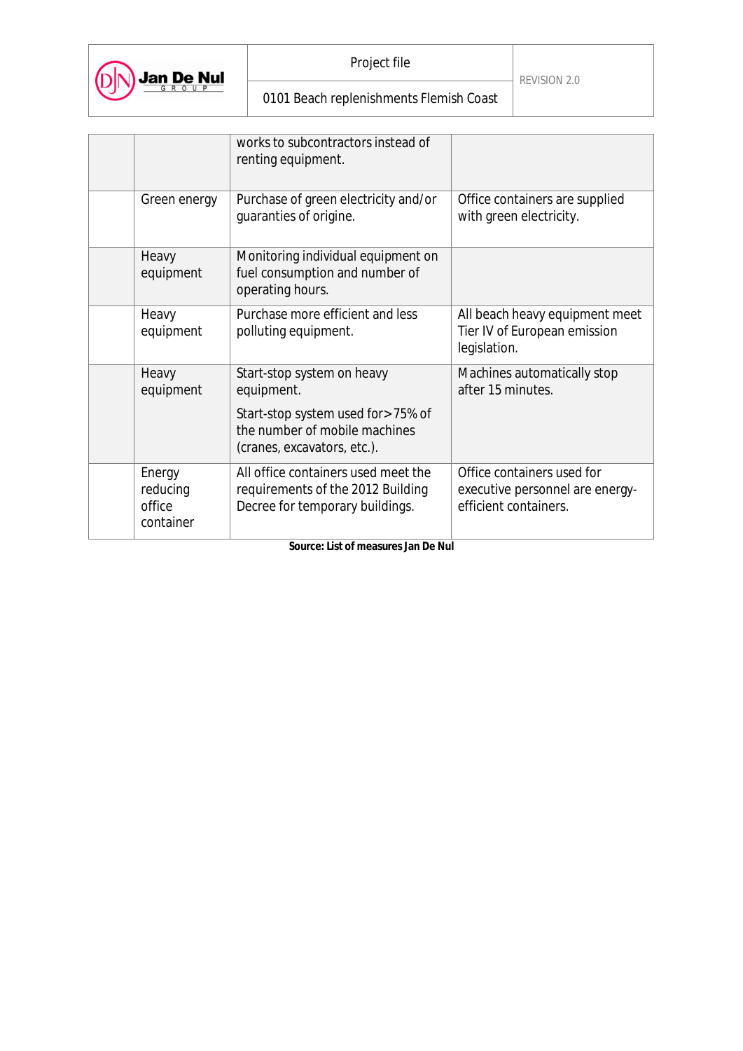

|                                           | works to subcontractors instead of<br>renting equipment.                                                                                        |                                                                                        |
|-------------------------------------------|-------------------------------------------------------------------------------------------------------------------------------------------------|----------------------------------------------------------------------------------------|
| Green energy                              | Purchase of green electricity and/or<br>quaranties of origine.                                                                                  | Office containers are supplied<br>with green electricity.                              |
| Heavy<br>equipment                        | Monitoring individual equipment on<br>fuel consumption and number of<br>operating hours.                                                        |                                                                                        |
| Heavy<br>equipment                        | Purchase more efficient and less<br>polluting equipment.                                                                                        | All beach heavy equipment meet<br>Tier IV of European emission<br>legislation.         |
| Heavy<br>equipment                        | Start-stop system on heavy<br>equipment.<br>Start-stop system used for > 75% of<br>the number of mobile machines<br>(cranes, excavators, etc.). | Machines automatically stop<br>after 15 minutes.                                       |
| Energy<br>reducing<br>office<br>container | All office containers used meet the<br>requirements of the 2012 Building<br>Decree for temporary buildings.                                     | Office containers used for<br>executive personnel are energy-<br>efficient containers. |

**Source: List of measures Jan De Nul**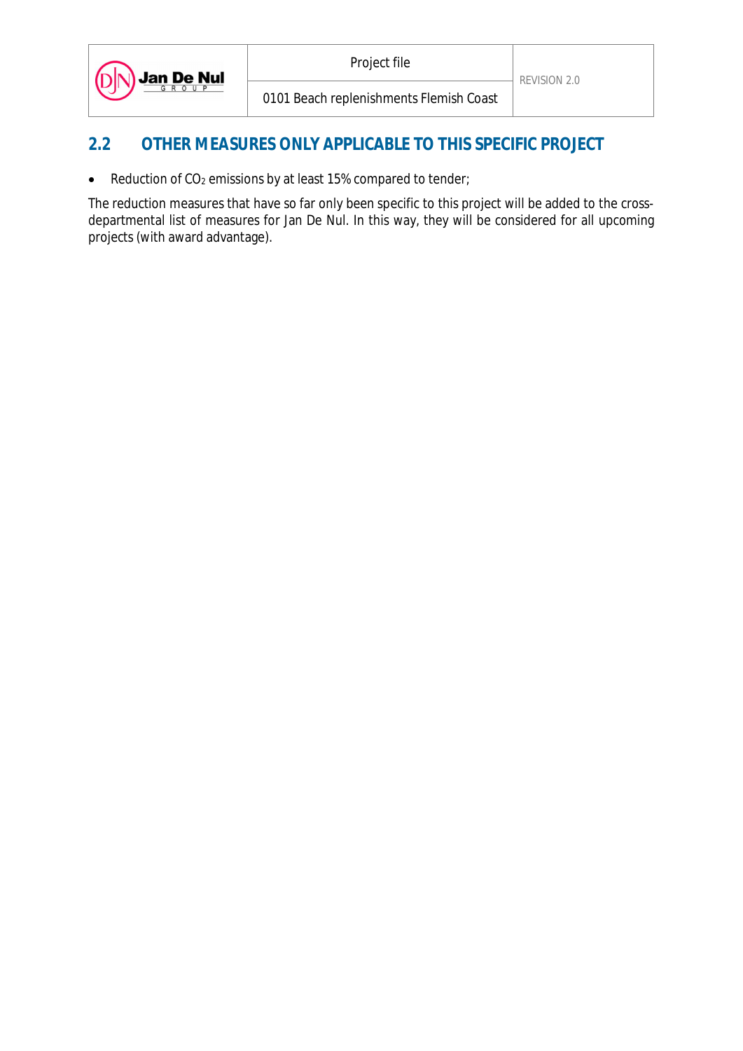

#### **2.2 OTHER MEASURES ONLY APPLICABLE TO THIS SPECIFIC PROJECT**

• Reduction of  $CO<sub>2</sub>$  emissions by at least 15% compared to tender;

The reduction measures that have so far only been specific to this project will be added to the crossdepartmental list of measures for Jan De Nul. In this way, they will be considered for all upcoming projects (with award advantage).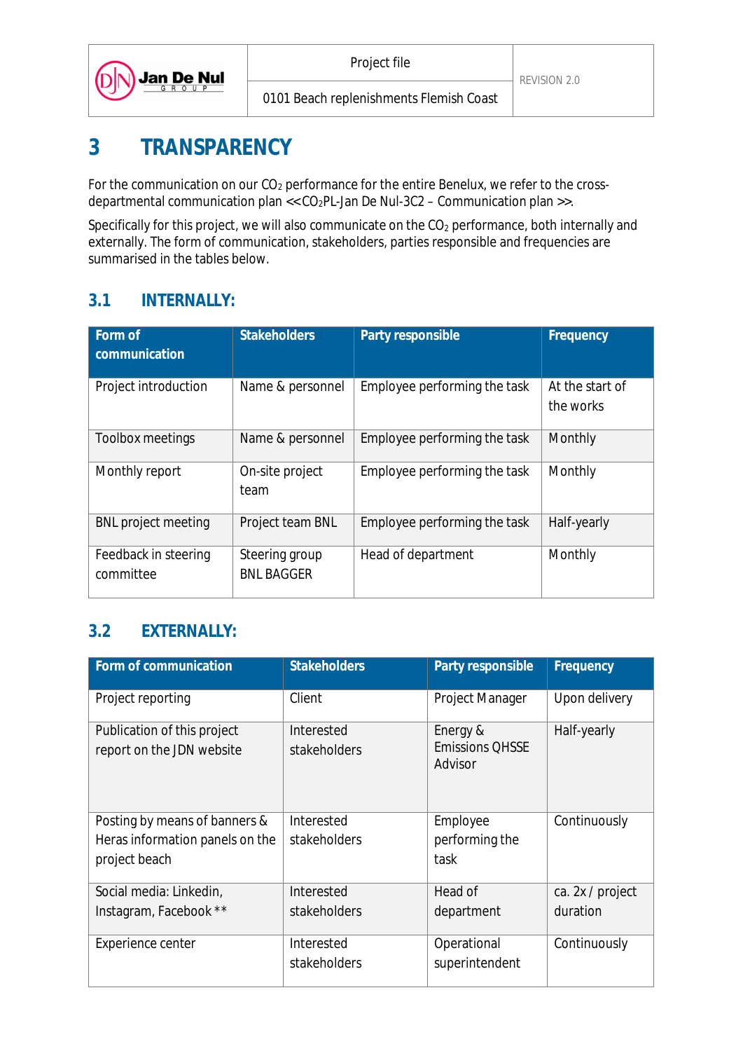

### **3 TRANSPARENCY**

For the communication on our  $CO<sub>2</sub>$  performance for the entire Benelux, we refer to the crossdepartmental communication plan <<  $CO<sub>2</sub>PL-Jan$  De Nul-3C2 – Communication plan >>.

Specifically for this project, we will also communicate on the  $CO<sub>2</sub>$  performance, both internally and externally. The form of communication, stakeholders, parties responsible and frequencies are summarised in the tables below.

#### **3.1 INTERNALLY:**

| Form of<br>communication          | <b>Stakeholders</b>                 | Party responsible            | Frequency                    |
|-----------------------------------|-------------------------------------|------------------------------|------------------------------|
| Project introduction              | Name & personnel                    | Employee performing the task | At the start of<br>the works |
| Toolbox meetings                  | Name & personnel                    | Employee performing the task | Monthly                      |
| Monthly report                    | On-site project<br>team             | Employee performing the task | Monthly                      |
| <b>BNL</b> project meeting        | Project team BNL                    | Employee performing the task | Half-yearly                  |
| Feedback in steering<br>committee | Steering group<br><b>BNL BAGGER</b> | Head of department           | Monthly                      |

#### **3.2 EXTERNALLY:**

| Form of communication                                                             | <b>Stakeholders</b>        | Party responsible                             | Frequency                    |
|-----------------------------------------------------------------------------------|----------------------------|-----------------------------------------------|------------------------------|
| Project reporting                                                                 | Client                     | Project Manager                               | Upon delivery                |
| Publication of this project<br>report on the JDN website                          | Interested<br>stakeholders | Energy &<br><b>Emissions QHSSE</b><br>Advisor | Half-yearly                  |
| Posting by means of banners &<br>Heras information panels on the<br>project beach | Interested<br>stakeholders | Employee<br>performing the<br>task            | Continuously                 |
| Social media: Linkedin,<br>Instagram, Facebook **                                 | Interested<br>stakeholders | Head of<br>department                         | ca. 2x / project<br>duration |
| Experience center                                                                 | Interested<br>stakeholders | Operational<br>superintendent                 | Continuously                 |